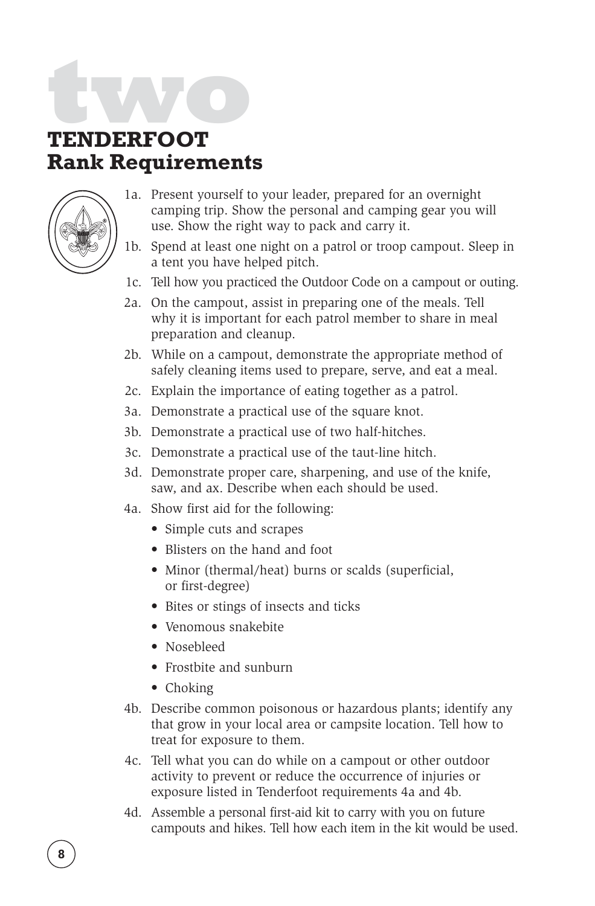## **two TENDERFOOT**

## **Rank Requirements**



- 1a. Present yourself to your leader, prepared for an overnight camping trip. Show the personal and camping gear you will use. Show the right way to pack and carry it.
- 1b. Spend at least one night on a patrol or troop campout. Sleep in a tent you have helped pitch.
- 1c. Tell how you practiced the Outdoor Code on a campout or outing.
- 2a. On the campout, assist in preparing one of the meals. Tell why it is important for each patrol member to share in meal preparation and cleanup.
- 2b. While on a campout, demonstrate the appropriate method of safely cleaning items used to prepare, serve, and eat a meal.
- 2c. Explain the importance of eating together as a patrol.
- 3a. Demonstrate a practical use of the square knot.
- 3b. Demonstrate a practical use of two half-hitches.
- 3c. Demonstrate a practical use of the taut-line hitch.
- 3d. Demonstrate proper care, sharpening, and use of the knife, saw, and ax. Describe when each should be used.
- 4a. Show first aid for the following:
	- Simple cuts and scrapes
	- Blisters on the hand and foot
	- Minor (thermal/heat) burns or scalds (superficial, or first-degree)
	- Bites or stings of insects and ticks
	- Venomous snakebite
	- Nosebleed
	- Frostbite and sunburn
	- Choking
- 4b. Describe common poisonous or hazardous plants; identify any that grow in your local area or campsite location. Tell how to treat for exposure to them.
- 4c. Tell what you can do while on a campout or other outdoor activity to prevent or reduce the occurrence of injuries or exposure listed in Tenderfoot requirements 4a and 4b.
- 4d. Assemble a personal first-aid kit to carry with you on future campouts and hikes. Tell how each item in the kit would be used.